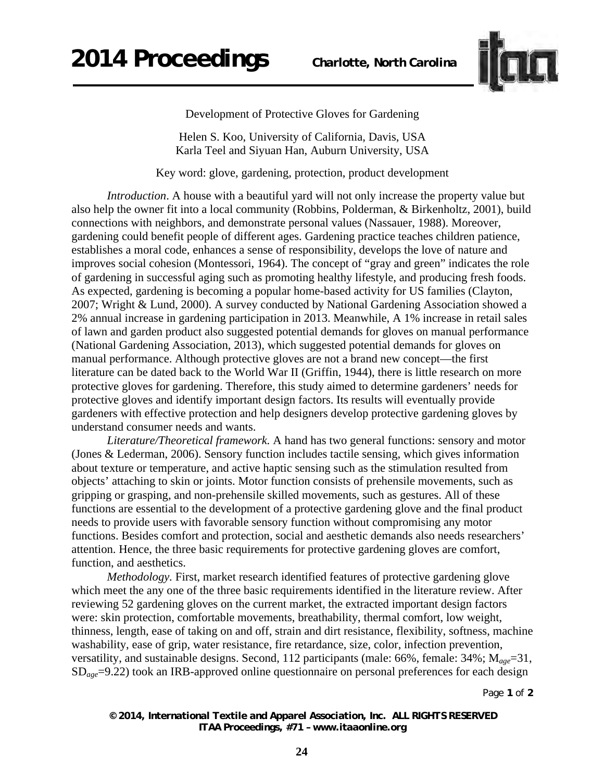

Development of Protective Gloves for Gardening

Helen S. Koo, University of California, Davis, USA Karla Teel and Siyuan Han, Auburn University, USA

Key word: glove, gardening, protection, product development

*Introduction*. A house with a beautiful yard will not only increase the property value but also help the owner fit into a local community (Robbins, Polderman, & Birkenholtz, 2001), build connections with neighbors, and demonstrate personal values (Nassauer, 1988). Moreover, gardening could benefit people of different ages. Gardening practice teaches children patience, establishes a moral code, enhances a sense of responsibility, develops the love of nature and improves social cohesion (Montessori, 1964). The concept of "gray and green" indicates the role of gardening in successful aging such as promoting healthy lifestyle, and producing fresh foods. As expected, gardening is becoming a popular home-based activity for US families (Clayton, 2007; Wright & Lund, 2000). A survey conducted by National Gardening Association showed a 2% annual increase in gardening participation in 2013. Meanwhile, A 1% increase in retail sales of lawn and garden product also suggested potential demands for gloves on manual performance (National Gardening Association, 2013), which suggested potential demands for gloves on manual performance. Although protective gloves are not a brand new concept—the first literature can be dated back to the World War II (Griffin, 1944), there is little research on more protective gloves for gardening. Therefore, this study aimed to determine gardeners' needs for protective gloves and identify important design factors. Its results will eventually provide gardeners with effective protection and help designers develop protective gardening gloves by understand consumer needs and wants.

*Literature/Theoretical framework.* A hand has two general functions: sensory and motor (Jones & Lederman, 2006). Sensory function includes tactile sensing, which gives information about texture or temperature, and active haptic sensing such as the stimulation resulted from objects' attaching to skin or joints. Motor function consists of prehensile movements, such as gripping or grasping, and non-prehensile skilled movements, such as gestures. All of these functions are essential to the development of a protective gardening glove and the final product needs to provide users with favorable sensory function without compromising any motor functions. Besides comfort and protection, social and aesthetic demands also needs researchers' attention. Hence, the three basic requirements for protective gardening gloves are comfort, function, and aesthetics.

*Methodology.* First, market research identified features of protective gardening glove which meet the any one of the three basic requirements identified in the literature review. After reviewing 52 gardening gloves on the current market, the extracted important design factors were: skin protection, comfortable movements, breathability, thermal comfort, low weight, thinness, length, ease of taking on and off, strain and dirt resistance, flexibility, softness, machine washability, ease of grip, water resistance, fire retardance, size, color, infection prevention, versatility, and sustainable designs. Second, 112 participants (male: 66%, female: 34%; M*age*=31, SD*age*=9.22) took an IRB-approved online questionnaire on personal preferences for each design

Page **1** of **2** 

*© 2014, International Textile and Apparel Association, Inc. ALL RIGHTS RESERVED ITAA Proceedings, #71 – www.itaaonline.org*